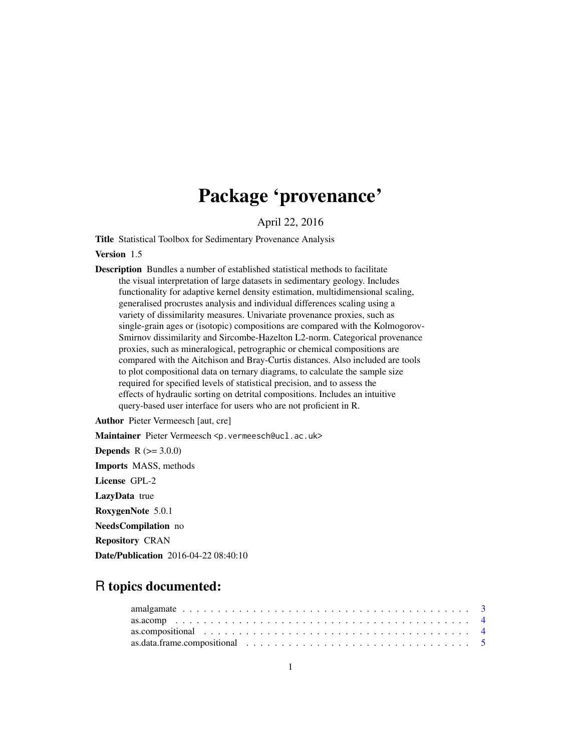# Package 'provenance'

April 22, 2016

Title Statistical Toolbox for Sedimentary Provenance Analysis

Version 1.5

Description Bundles a number of established statistical methods to facilitate the visual interpretation of large datasets in sedimentary geology. Includes functionality for adaptive kernel density estimation, multidimensional scaling, generalised procrustes analysis and individual differences scaling using a variety of dissimilarity measures. Univariate provenance proxies, such as single-grain ages or (isotopic) compositions are compared with the Kolmogorov-Smirnov dissimilarity and Sircombe-Hazelton L2-norm. Categorical provenance proxies, such as mineralogical, petrographic or chemical compositions are compared with the Aitchison and Bray-Curtis distances. Also included are tools to plot compositional data on ternary diagrams, to calculate the sample size required for specified levels of statistical precision, and to assess the effects of hydraulic sorting on detrital compositions. Includes an intuitive query-based user interface for users who are not proficient in R.

Author Pieter Vermeesch [aut, cre]

Maintainer Pieter Vermeesch <p. vermeesch@ucl.ac.uk>

**Depends**  $R (= 3.0.0)$ Imports MASS, methods License GPL-2 LazyData true RoxygenNote 5.0.1 NeedsCompilation no Repository CRAN Date/Publication 2016-04-22 08:40:10

# R topics documented:

| as.data.frame.compositional $\ldots \ldots \ldots \ldots \ldots \ldots \ldots \ldots \ldots \ldots \ldots$ |  |  |  |  |  |  |  |  |  |  |  |  |  |  |  |
|------------------------------------------------------------------------------------------------------------|--|--|--|--|--|--|--|--|--|--|--|--|--|--|--|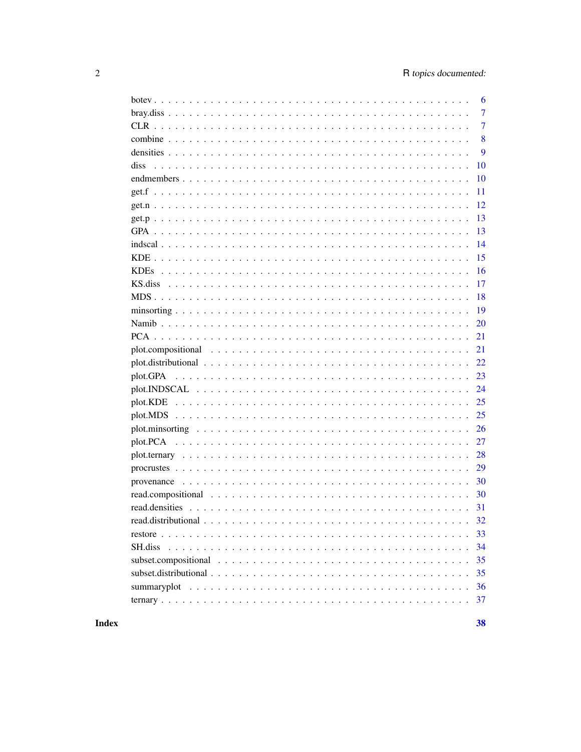| 6              |
|----------------|
| $\overline{7}$ |
| $\overline{7}$ |
| 8              |
| 9              |
| diss<br>10     |
| 10             |
| 11             |
| 12             |
| 13             |
| 13             |
| 14             |
| 15             |
| 16             |
| 17             |
| 18             |
| 19             |
| 20             |
| 21             |
| 21             |
| 22             |
| 23             |
| 24             |
| 25             |
| 25             |
| 26             |
| 27             |
| 28             |
| 29             |
| 30             |
| 30             |
| 31             |
| 32             |
| 33             |
| 34<br>SH.diss  |
| 35             |
| 35             |
| 36             |
| 37             |

**Index**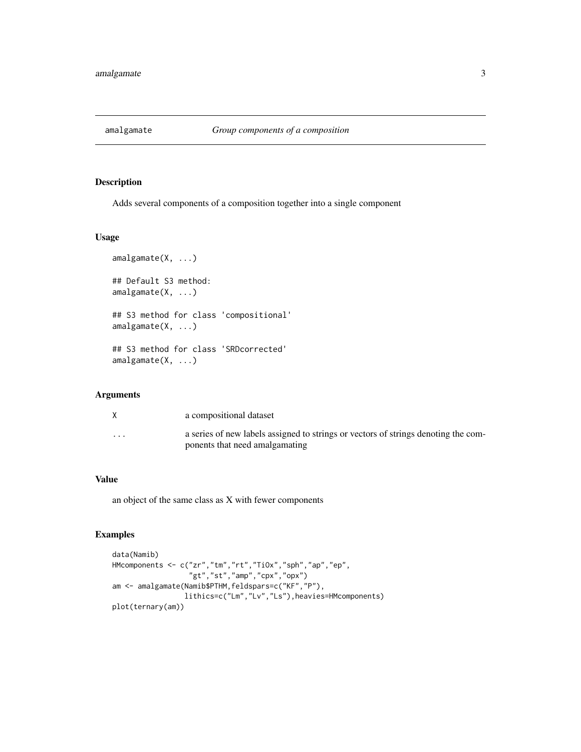<span id="page-2-0"></span>

Adds several components of a composition together into a single component

#### Usage

```
amalgamate(X, ...)
## Default S3 method:
amalgamate(X, ...)
## S3 method for class 'compositional'
amalgamate(X, ...)
## S3 method for class 'SRDcorrected'
amalgamate(X, ...)
```
# Arguments

|          | a compositional dataset                                                                                              |
|----------|----------------------------------------------------------------------------------------------------------------------|
| $\cdots$ | a series of new labels assigned to strings or vectors of strings denoting the com-<br>ponents that need amalgamating |

#### Value

an object of the same class as X with fewer components

```
data(Namib)
HMcomponents <- c("zr","tm","rt","TiOx","sph","ap","ep",
                  "gt","st","amp","cpx","opx")
am <- amalgamate(Namib$PTHM,feldspars=c("KF","P"),
                 lithics=c("Lm","Lv","Ls"),heavies=HMcomponents)
plot(ternary(am))
```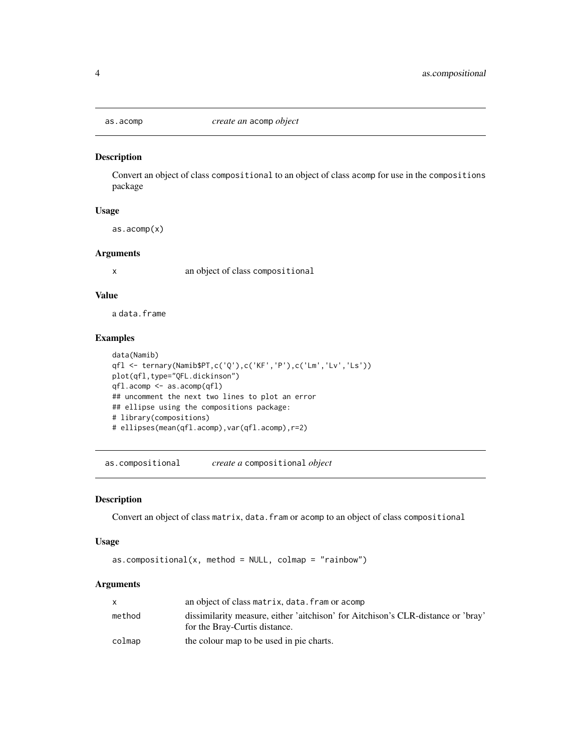<span id="page-3-0"></span>

Convert an object of class compositional to an object of class acomp for use in the compositions package

#### Usage

as.acomp(x)

#### Arguments

x an object of class compositional

#### Value

a data.frame

#### Examples

```
data(Namib)
qfl <- ternary(Namib$PT,c('Q'),c('KF','P'),c('Lm','Lv','Ls'))
plot(qfl,type="QFL.dickinson")
qfl.acomp <- as.acomp(qfl)
## uncomment the next two lines to plot an error
## ellipse using the compositions package:
# library(compositions)
# ellipses(mean(qfl.acomp),var(qfl.acomp),r=2)
```
as.compositional *create a* compositional *object*

#### Description

Convert an object of class matrix, data.fram or acomp to an object of class compositional

#### Usage

```
as. compositional(x, method = NULL, colmap = "rainbow")
```
# Arguments

| an object of class matrix, data, fram or acomp                                   |
|----------------------------------------------------------------------------------|
| dissimilarity measure, either 'aitchison' for Aitchison's CLR-distance or 'bray' |
| for the Bray-Curtis distance.                                                    |
| the colour map to be used in pie charts.                                         |
|                                                                                  |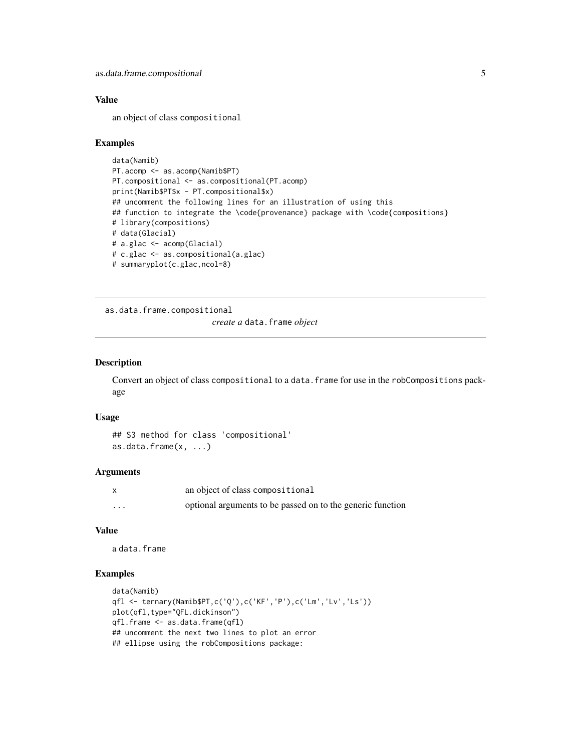### <span id="page-4-0"></span>Value

an object of class compositional

#### Examples

```
data(Namib)
PT.acomp <- as.acomp(Namib$PT)
PT.compositional <- as.compositional(PT.acomp)
print(Namib$PT$x - PT.compositional$x)
## uncomment the following lines for an illustration of using this
## function to integrate the \code{provenance} package with \code{compositions}
# library(compositions)
# data(Glacial)
# a.glac <- acomp(Glacial)
# c.glac <- as.compositional(a.glac)
# summaryplot(c.glac,ncol=8)
```
as.data.frame.compositional

*create a* data.frame *object*

#### Description

Convert an object of class compositional to a data. frame for use in the robCompositions package

## Usage

```
## S3 method for class 'compositional'
as.data.frame(x, ...)
```
#### Arguments

|          | an object of class compositional                           |
|----------|------------------------------------------------------------|
| $\cdots$ | optional arguments to be passed on to the generic function |

# Value

a data.frame

```
data(Namib)
qfl <- ternary(Namib$PT,c('Q'),c('KF','P'),c('Lm','Lv','Ls'))
plot(qfl,type="QFL.dickinson")
qfl.frame <- as.data.frame(qfl)
## uncomment the next two lines to plot an error
## ellipse using the robCompositions package:
```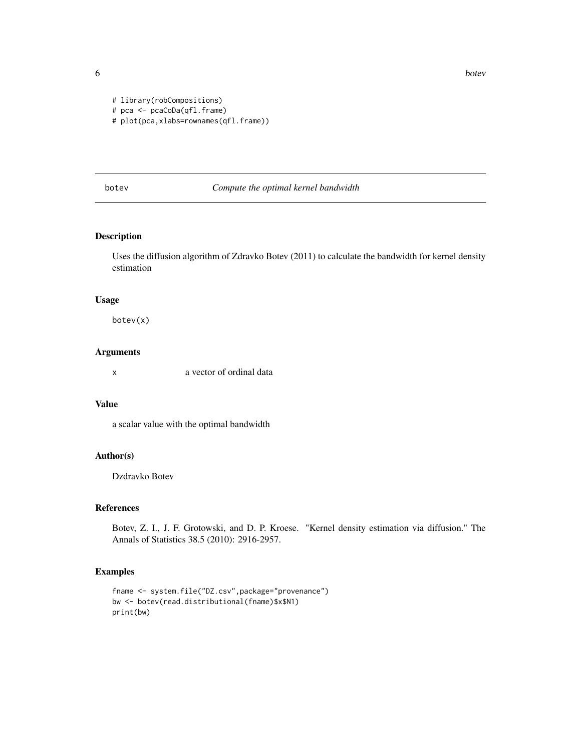**6** botev botev and the set of the set of the set of the set of the set of the set of the set of the set of the set of the set of the set of the set of the set of the set of the set of the set of the set of the set of the

```
# library(robCompositions)
```

```
# pca <- pcaCoDa(qfl.frame)
```
# plot(pca,xlabs=rownames(qfl.frame))

# botev *Compute the optimal kernel bandwidth*

# Description

Uses the diffusion algorithm of Zdravko Botev (2011) to calculate the bandwidth for kernel density estimation

#### Usage

botev(x)

# Arguments

x a vector of ordinal data

#### Value

a scalar value with the optimal bandwidth

# Author(s)

Dzdravko Botev

#### References

Botev, Z. I., J. F. Grotowski, and D. P. Kroese. "Kernel density estimation via diffusion." The Annals of Statistics 38.5 (2010): 2916-2957.

```
fname <- system.file("DZ.csv",package="provenance")
bw <- botev(read.distributional(fname)$x$N1)
print(bw)
```
<span id="page-5-0"></span>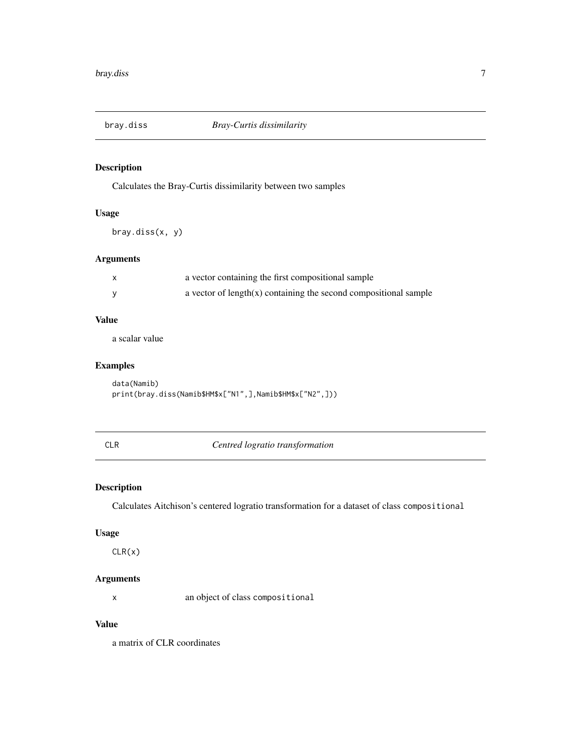<span id="page-6-0"></span>

Calculates the Bray-Curtis dissimilarity between two samples

# Usage

bray.diss(x, y)

# Arguments

| a vector containing the first compositional sample                  |
|---------------------------------------------------------------------|
| a vector of length $(x)$ containing the second compositional sample |

# Value

a scalar value

# Examples

data(Namib) print(bray.diss(Namib\$HM\$x["N1",],Namib\$HM\$x["N2",]))

CLR *Centred logratio transformation*

# Description

Calculates Aitchison's centered logratio transformation for a dataset of class compositional

#### Usage

CLR(x)

# Arguments

x an object of class compositional

# Value

a matrix of CLR coordinates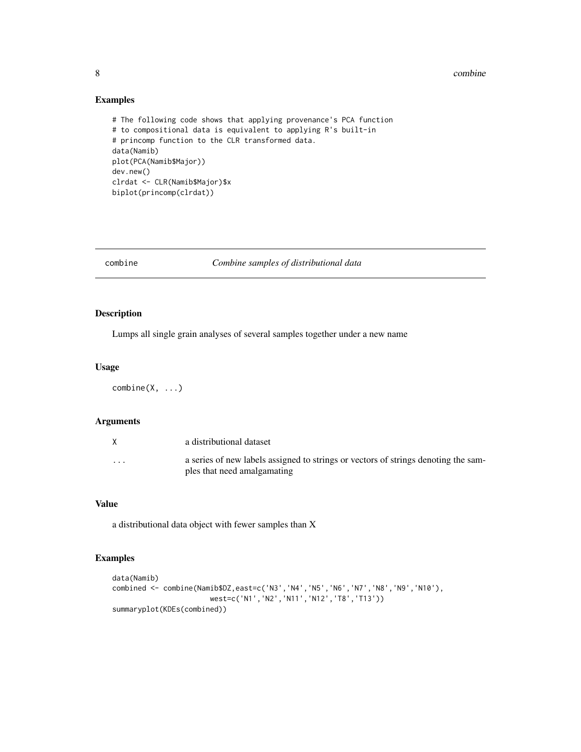#### 8 combine to the combine of the combine of the combine of the combine of the combine of the combine of the combine of the combine of the combine of the combine of the combine of the combine of the combine of the combine of

# Examples

```
# The following code shows that applying provenance's PCA function
# to compositional data is equivalent to applying R's built-in
# princomp function to the CLR transformed data.
data(Namib)
plot(PCA(Namib$Major))
dev.new()
clrdat <- CLR(Namib$Major)$x
biplot(princomp(clrdat))
```
combine *Combine samples of distributional data*

# Description

Lumps all single grain analyses of several samples together under a new name

#### Usage

 $combine(X, \ldots)$ 

# Arguments

|          | a distributional dataset                                                                                          |
|----------|-------------------------------------------------------------------------------------------------------------------|
| $\cdots$ | a series of new labels assigned to strings or vectors of strings denoting the sam-<br>ples that need amalgamating |

#### Value

a distributional data object with fewer samples than X

```
data(Namib)
combined <- combine(Namib$DZ,east=c('N3','N4','N5','N6','N7','N8','N9','N10'),
                      west=c('N1','N2','N11','N12','T8','T13'))
summaryplot(KDEs(combined))
```
<span id="page-7-0"></span>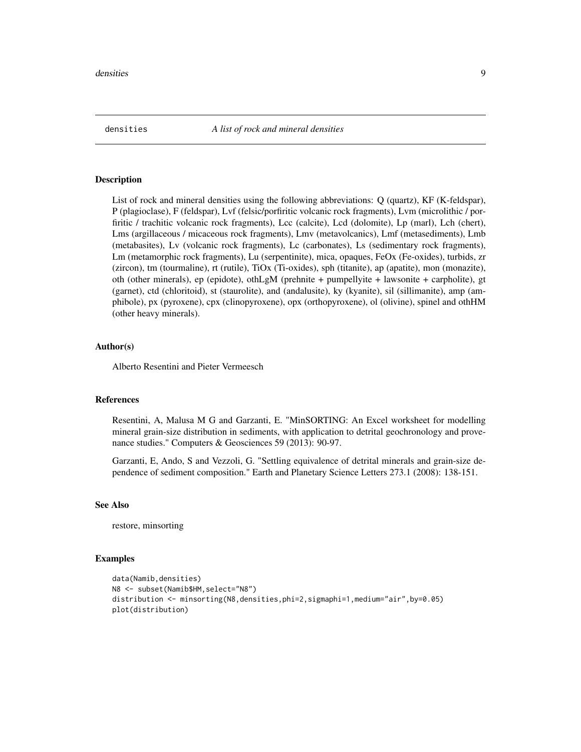<span id="page-8-0"></span>

List of rock and mineral densities using the following abbreviations: Q (quartz), KF (K-feldspar), P (plagioclase), F (feldspar), Lvf (felsic/porfiritic volcanic rock fragments), Lvm (microlithic / porfiritic / trachitic volcanic rock fragments), Lcc (calcite), Lcd (dolomite), Lp (marl), Lch (chert), Lms (argillaceous / micaceous rock fragments), Lmv (metavolcanics), Lmf (metasediments), Lmb (metabasites), Lv (volcanic rock fragments), Lc (carbonates), Ls (sedimentary rock fragments), Lm (metamorphic rock fragments), Lu (serpentinite), mica, opaques, FeOx (Fe-oxides), turbids, zr (zircon), tm (tourmaline), rt (rutile), TiOx (Ti-oxides), sph (titanite), ap (apatite), mon (monazite), oth (other minerals), ep (epidote), othLgM (prehnite + pumpellyite + lawsonite + carpholite), gt (garnet), ctd (chloritoid), st (staurolite), and (andalusite), ky (kyanite), sil (sillimanite), amp (amphibole), px (pyroxene), cpx (clinopyroxene), opx (orthopyroxene), ol (olivine), spinel and othHM (other heavy minerals).

#### Author(s)

Alberto Resentini and Pieter Vermeesch

#### References

Resentini, A, Malusa M G and Garzanti, E. "MinSORTING: An Excel worksheet for modelling mineral grain-size distribution in sediments, with application to detrital geochronology and provenance studies." Computers & Geosciences 59 (2013): 90-97.

Garzanti, E, Ando, S and Vezzoli, G. "Settling equivalence of detrital minerals and grain-size dependence of sediment composition." Earth and Planetary Science Letters 273.1 (2008): 138-151.

#### See Also

restore, minsorting

```
data(Namib,densities)
N8 <- subset(Namib$HM,select="N8")
distribution <- minsorting(N8,densities,phi=2,sigmaphi=1,medium="air",by=0.05)
plot(distribution)
```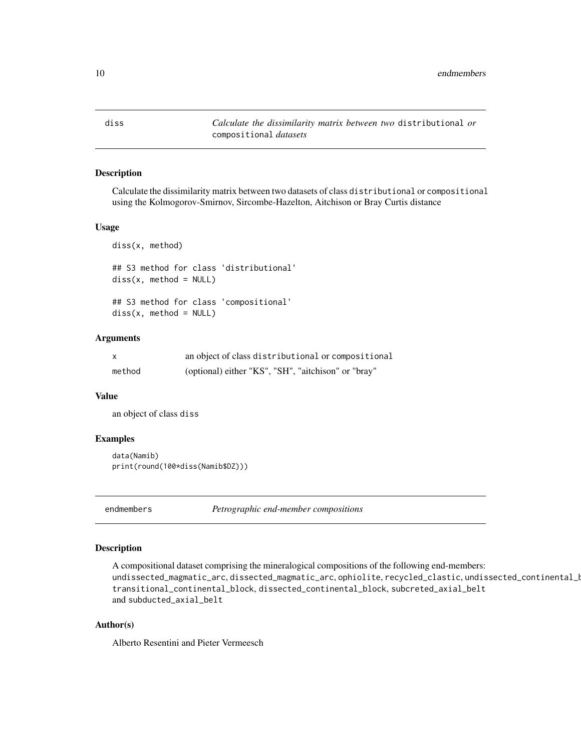<span id="page-9-0"></span>diss *Calculate the dissimilarity matrix between two* distributional *or* compositional *datasets*

# Description

Calculate the dissimilarity matrix between two datasets of class distributional or compositional using the Kolmogorov-Smirnov, Sircombe-Hazelton, Aitchison or Bray Curtis distance

#### Usage

diss(x, method) ## S3 method for class 'distributional'  $diss(x, method = NULL)$ ## S3 method for class 'compositional'  $diss(x, method = NULL)$ 

#### Arguments

| $\mathsf{x}$ | an object of class distributional or compositional  |
|--------------|-----------------------------------------------------|
| method       | (optional) either "KS", "SH", "aitchison" or "bray" |

#### Value

an object of class diss

#### Examples

```
data(Namib)
print(round(100*diss(Namib$DZ)))
```
endmembers *Petrographic end-member compositions*

# Description

A compositional dataset comprising the mineralogical compositions of the following end-members: undissected\_magmatic\_arc, dissected\_magmatic\_arc, ophiolite, recycled\_clastic, undissected\_continental\_l transitional\_continental\_block, dissected\_continental\_block, subcreted\_axial\_belt and subducted\_axial\_belt

#### Author(s)

Alberto Resentini and Pieter Vermeesch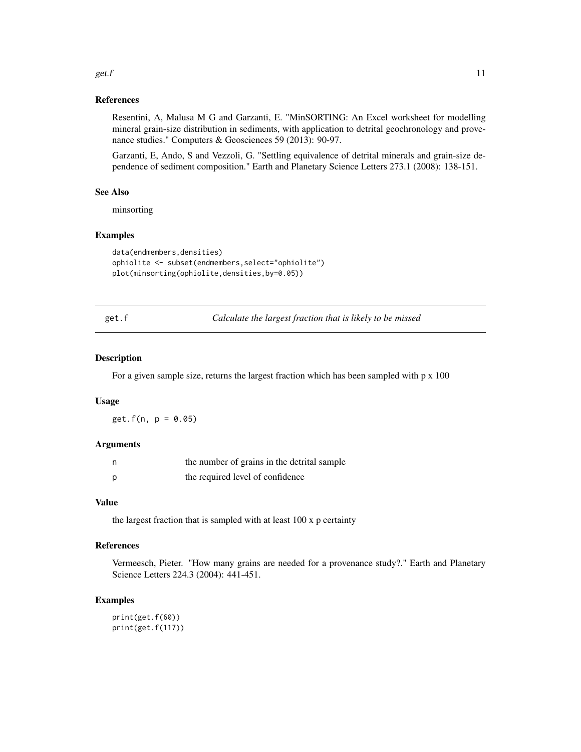#### <span id="page-10-0"></span>get.f  $\qquad \qquad$  11

#### References

Resentini, A, Malusa M G and Garzanti, E. "MinSORTING: An Excel worksheet for modelling mineral grain-size distribution in sediments, with application to detrital geochronology and provenance studies." Computers & Geosciences 59 (2013): 90-97.

Garzanti, E, Ando, S and Vezzoli, G. "Settling equivalence of detrital minerals and grain-size dependence of sediment composition." Earth and Planetary Science Letters 273.1 (2008): 138-151.

#### See Also

minsorting

#### Examples

```
data(endmembers,densities)
ophiolite <- subset(endmembers,select="ophiolite")
plot(minsorting(ophiolite,densities,by=0.05))
```
get.f *Calculate the largest fraction that is likely to be missed*

#### Description

For a given sample size, returns the largest fraction which has been sampled with  $p \times 100$ 

#### Usage

 $get.f(n, p = 0.05)$ 

# Arguments

| the number of grains in the detrital sample |
|---------------------------------------------|
| the required level of confidence            |

#### Value

the largest fraction that is sampled with at least 100 x p certainty

#### References

Vermeesch, Pieter. "How many grains are needed for a provenance study?." Earth and Planetary Science Letters 224.3 (2004): 441-451.

# Examples

print(get.f(60)) print(get.f(117))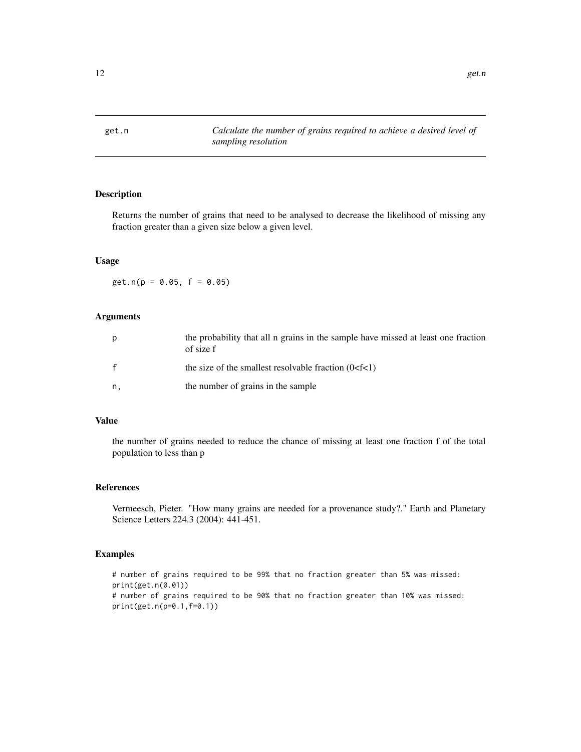<span id="page-11-0"></span>

Returns the number of grains that need to be analysed to decrease the likelihood of missing any fraction greater than a given size below a given level.

# Usage

 $get.n(p = 0.05, f = 0.05)$ 

#### Arguments

| р  | the probability that all n grains in the sample have missed at least one fraction<br>of size f |
|----|------------------------------------------------------------------------------------------------|
|    | the size of the smallest resolvable fraction $(0 < f < 1)$                                     |
| n. | the number of grains in the sample                                                             |

#### Value

the number of grains needed to reduce the chance of missing at least one fraction f of the total population to less than p

#### References

Vermeesch, Pieter. "How many grains are needed for a provenance study?." Earth and Planetary Science Letters 224.3 (2004): 441-451.

```
# number of grains required to be 99% that no fraction greater than 5% was missed:
print(get.n(0.01))
# number of grains required to be 90% that no fraction greater than 10% was missed:
print(get.n(p=0.1,f=0.1))
```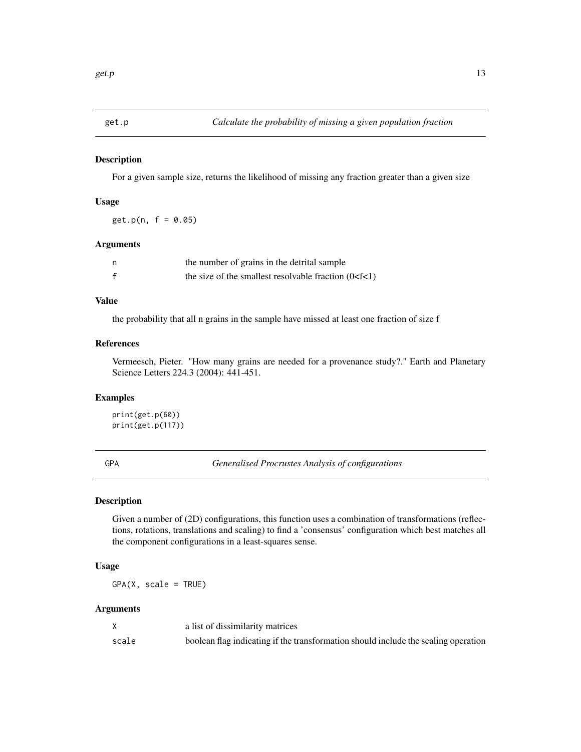<span id="page-12-0"></span>

For a given sample size, returns the likelihood of missing any fraction greater than a given size

#### Usage

 $get.p(n, f = 0.05)$ 

# Arguments

| n | the number of grains in the detrital sample                |
|---|------------------------------------------------------------|
| f | the size of the smallest resolvable fraction $(0 < f < 1)$ |

# Value

the probability that all n grains in the sample have missed at least one fraction of size f

# References

Vermeesch, Pieter. "How many grains are needed for a provenance study?." Earth and Planetary Science Letters 224.3 (2004): 441-451.

# Examples

```
print(get.p(60))
print(get.p(117))
```
GPA *Generalised Procrustes Analysis of configurations*

# Description

Given a number of (2D) configurations, this function uses a combination of transformations (reflections, rotations, translations and scaling) to find a 'consensus' configuration which best matches all the component configurations in a least-squares sense.

#### Usage

 $GPA(X, scale = TRUE)$ 

#### Arguments

|       | a list of dissimilarity matrices                                                   |
|-------|------------------------------------------------------------------------------------|
| scale | boolean flag indicating if the transformation should include the scaling operation |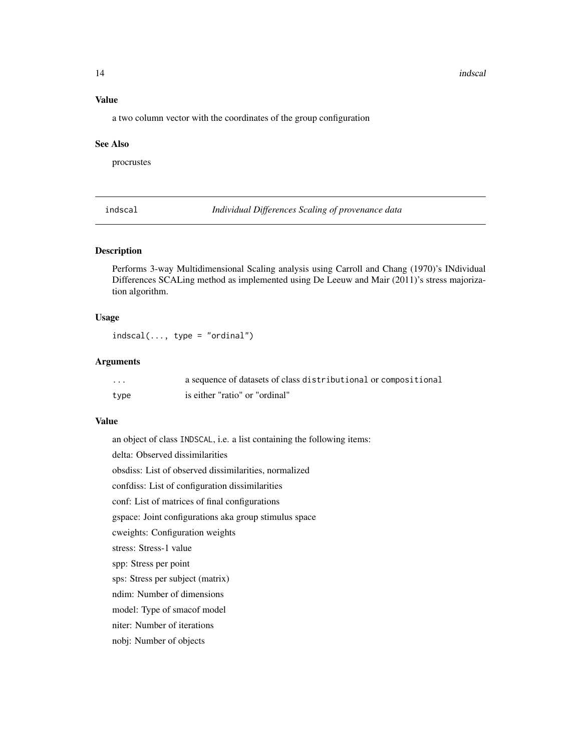#### 14 indscal and the contract of the contract of the contract of the contract of the contract of the contract of the contract of the contract of the contract of the contract of the contract of the contract of the contract of

#### Value

a two column vector with the coordinates of the group configuration

#### See Also

procrustes

indscal *Individual Differences Scaling of provenance data*

# Description

Performs 3-way Multidimensional Scaling analysis using Carroll and Chang (1970)'s INdividual Differences SCALing method as implemented using De Leeuw and Mair (2011)'s stress majorization algorithm.

#### Usage

 $indscal(..., type = "ordinal")$ 

# Arguments

| $\cdots$ | a sequence of datasets of class distributional or compositional |
|----------|-----------------------------------------------------------------|
| type     | is either "ratio" or "ordinal"                                  |

#### Value

an object of class INDSCAL, i.e. a list containing the following items:

delta: Observed dissimilarities

obsdiss: List of observed dissimilarities, normalized

confdiss: List of configuration dissimilarities

conf: List of matrices of final configurations

gspace: Joint configurations aka group stimulus space

cweights: Configuration weights

stress: Stress-1 value

spp: Stress per point

sps: Stress per subject (matrix)

ndim: Number of dimensions

model: Type of smacof model

niter: Number of iterations

nobj: Number of objects

<span id="page-13-0"></span>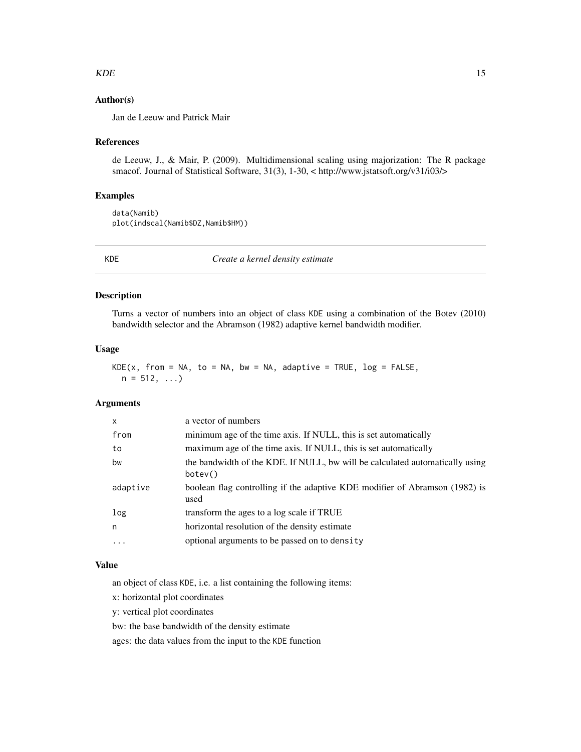#### <span id="page-14-0"></span> $KDE$  15

# Author(s)

Jan de Leeuw and Patrick Mair

#### References

de Leeuw, J., & Mair, P. (2009). Multidimensional scaling using majorization: The R package smacof. Journal of Statistical Software, 31(3), 1-30, < http://www.jstatsoft.org/v31/i03/>

#### Examples

data(Namib) plot(indscal(Namib\$DZ,Namib\$HM))

KDE *Create a kernel density estimate*

#### Description

Turns a vector of numbers into an object of class KDE using a combination of the Botev (2010) bandwidth selector and the Abramson (1982) adaptive kernel bandwidth modifier.

# Usage

 $KDE(x, from = NA, to = NA, bw = NA, adaptive = TRUE, log = FALSE,$  $n = 512, ...$ 

#### Arguments

| X        | a vector of numbers                                                                     |
|----------|-----------------------------------------------------------------------------------------|
| from     | minimum age of the time axis. If NULL, this is set automatically                        |
| to       | maximum age of the time axis. If NULL, this is set automatically                        |
| bw       | the bandwidth of the KDE. If NULL, bw will be calculated automatically using<br>botev() |
| adaptive | boolean flag controlling if the adaptive KDE modifier of Abramson (1982) is<br>used     |
| log      | transform the ages to a log scale if TRUE                                               |
| n        | horizontal resolution of the density estimate                                           |
| $\cdot$  | optional arguments to be passed on to density                                           |
|          |                                                                                         |

# Value

an object of class KDE, i.e. a list containing the following items:

x: horizontal plot coordinates

y: vertical plot coordinates

bw: the base bandwidth of the density estimate

ages: the data values from the input to the KDE function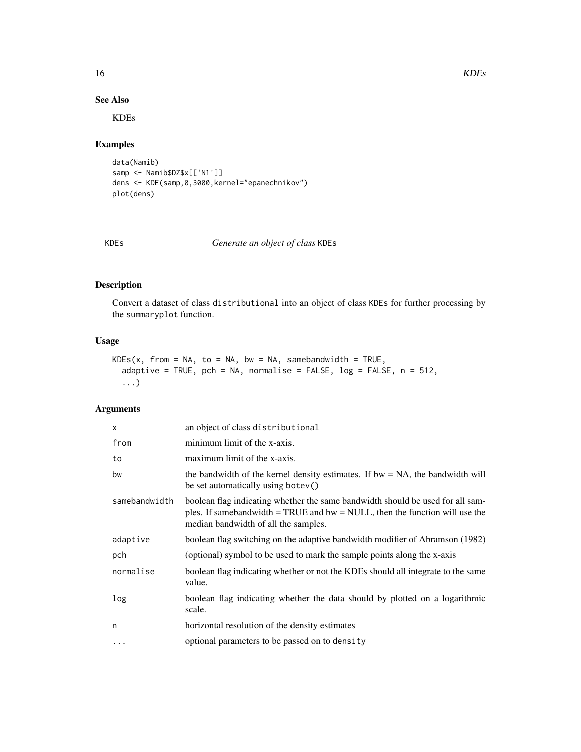16 KDEs

# See Also

KDEs

#### Examples

```
data(Namib)
samp <- Namib$DZ$x[['N1']]
dens <- KDE(samp,0,3000,kernel="epanechnikov")
plot(dens)
```
# KDEs *Generate an object of class* KDEs

# Description

Convert a dataset of class distributional into an object of class KDEs for further processing by the summaryplot function.

# Usage

```
KDES(x, from = NA, to = NA, bw = NA, same bandwidth = TRUE,adaptive = TRUE, pch = NA, normalise = FALSE, log = FALSE, n = 512,
  ...)
```
# Arguments

| an object of class distributional                                                                                                                                                                         |
|-----------------------------------------------------------------------------------------------------------------------------------------------------------------------------------------------------------|
| minimum limit of the x-axis.                                                                                                                                                                              |
| maximum limit of the x-axis.                                                                                                                                                                              |
| the bandwidth of the kernel density estimates. If $bw = NA$ , the bandwidth will<br>be set automatically using botev()                                                                                    |
| boolean flag indicating whether the same bandwidth should be used for all sam-<br>ples. If samebandwidth $=$ TRUE and bw $=$ NULL, then the function will use the<br>median bandwidth of all the samples. |
| boolean flag switching on the adaptive bandwidth modifier of Abramson (1982)                                                                                                                              |
| (optional) symbol to be used to mark the sample points along the x-axis                                                                                                                                   |
| boolean flag indicating whether or not the KDEs should all integrate to the same<br>value.                                                                                                                |
| boolean flag indicating whether the data should by plotted on a logarithmic<br>scale.                                                                                                                     |
| horizontal resolution of the density estimates                                                                                                                                                            |
| optional parameters to be passed on to density                                                                                                                                                            |
|                                                                                                                                                                                                           |

<span id="page-15-0"></span>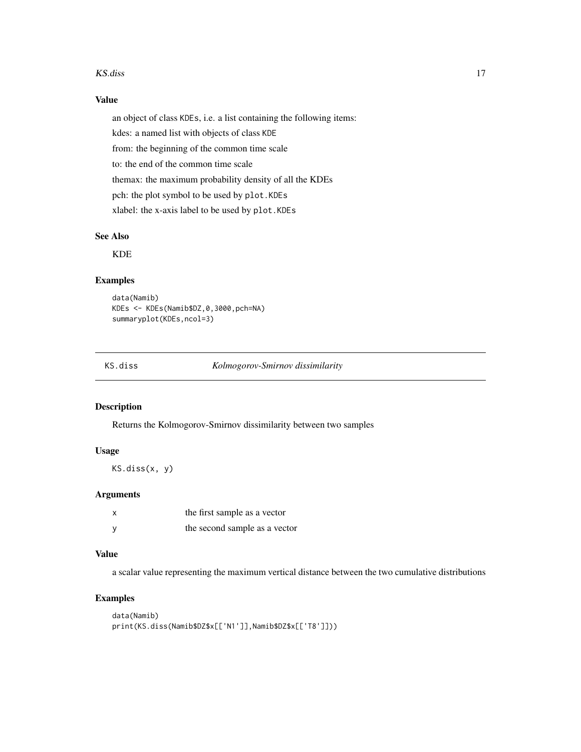#### <span id="page-16-0"></span>KS.diss 17

# Value

an object of class KDEs, i.e. a list containing the following items: kdes: a named list with objects of class KDE from: the beginning of the common time scale to: the end of the common time scale themax: the maximum probability density of all the KDEs pch: the plot symbol to be used by plot.KDEs

xlabel: the x-axis label to be used by plot.KDEs

# See Also

KDE

#### Examples

```
data(Namib)
KDEs <- KDEs(Namib$DZ,0,3000,pch=NA)
summaryplot(KDEs,ncol=3)
```
KS.diss *Kolmogorov-Smirnov dissimilarity*

# Description

Returns the Kolmogorov-Smirnov dissimilarity between two samples

# Usage

KS.diss(x, y)

#### Arguments

| x            | the first sample as a vector  |
|--------------|-------------------------------|
| <sub>V</sub> | the second sample as a vector |

# Value

a scalar value representing the maximum vertical distance between the two cumulative distributions

```
data(Namib)
print(KS.diss(Namib$DZ$x[['N1']],Namib$DZ$x[['T8']]))
```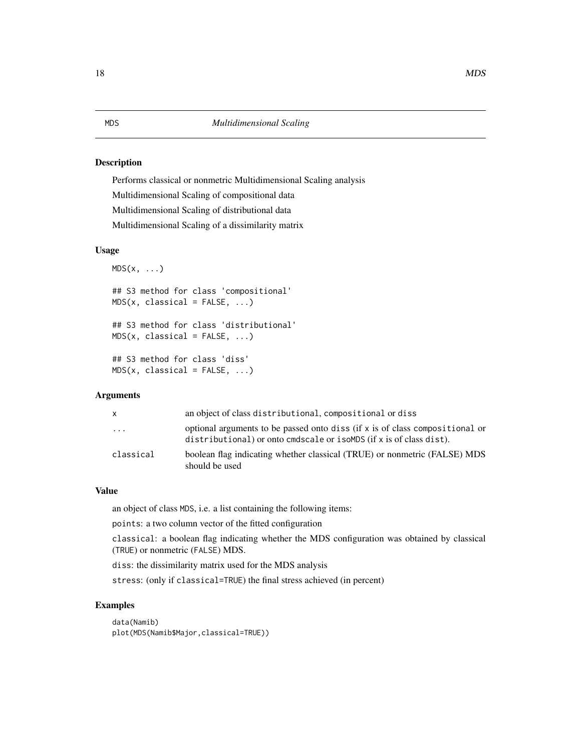Performs classical or nonmetric Multidimensional Scaling analysis Multidimensional Scaling of compositional data Multidimensional Scaling of distributional data Multidimensional Scaling of a dissimilarity matrix

#### Usage

```
MDS(x, \ldots)## S3 method for class 'compositional'
MDS(x, classical = FALSE, ...)## S3 method for class 'distributional'
MDS(x, classical = FALSE, ...)## S3 method for class 'diss'
MDS(x, classical = FALSE, ...)
```
#### Arguments

| X.                      | an object of class distributional, compositional or diss                                                                                            |
|-------------------------|-----------------------------------------------------------------------------------------------------------------------------------------------------|
| $\cdot$ $\cdot$ $\cdot$ | optional arguments to be passed onto diss (if x is of class compositional or<br>distributional) or onto cmdscale or isoMDS (if x is of class dist). |
| classical               | boolean flag indicating whether classical (TRUE) or nonmetric (FALSE) MDS<br>should be used                                                         |

# Value

an object of class MDS, i.e. a list containing the following items:

points: a two column vector of the fitted configuration

classical: a boolean flag indicating whether the MDS configuration was obtained by classical (TRUE) or nonmetric (FALSE) MDS.

diss: the dissimilarity matrix used for the MDS analysis

stress: (only if classical=TRUE) the final stress achieved (in percent)

# Examples

data(Namib) plot(MDS(Namib\$Major,classical=TRUE))

#### <span id="page-17-0"></span>18 MDS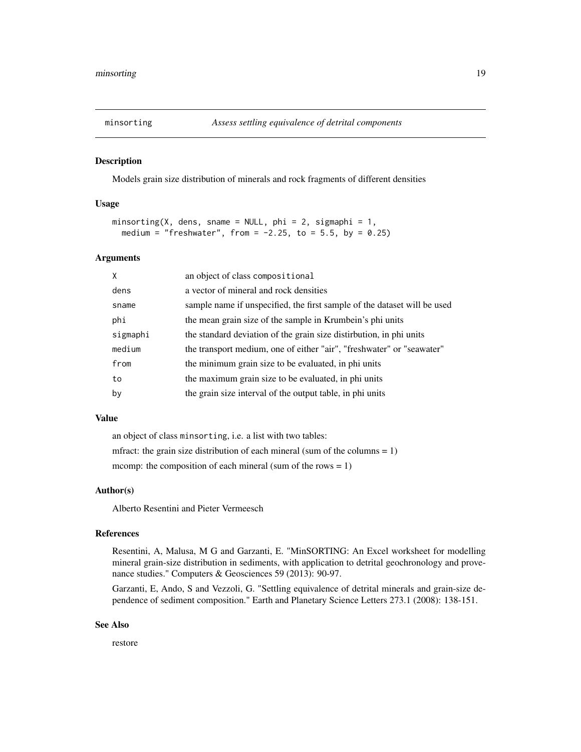<span id="page-18-0"></span>

Models grain size distribution of minerals and rock fragments of different densities

#### Usage

```
minsorting(X, dens, sname = NULL, phi = 2, sigmaphi = 1,
 medium = "freshwater", from = -2.25, to = 5.5, by = 0.25)
```
#### Arguments

| X        | an object of class compositional                                         |
|----------|--------------------------------------------------------------------------|
| dens     | a vector of mineral and rock densities                                   |
| sname    | sample name if unspecified, the first sample of the dataset will be used |
| phi      | the mean grain size of the sample in Krumbein's phi units                |
| sigmaphi | the standard deviation of the grain size distirbution, in phi units      |
| medium   | the transport medium, one of either "air", "freshwater" or "seawater"    |
| from     | the minimum grain size to be evaluated, in phi units                     |
| to       | the maximum grain size to be evaluated, in phi units                     |
| by       | the grain size interval of the output table, in phi units                |

# Value

an object of class minsorting, i.e. a list with two tables: mfract: the grain size distribution of each mineral (sum of the columns  $= 1$ ) mcomp: the composition of each mineral (sum of the rows  $= 1$ )

#### Author(s)

Alberto Resentini and Pieter Vermeesch

#### References

Resentini, A, Malusa, M G and Garzanti, E. "MinSORTING: An Excel worksheet for modelling mineral grain-size distribution in sediments, with application to detrital geochronology and provenance studies." Computers & Geosciences 59 (2013): 90-97.

Garzanti, E, Ando, S and Vezzoli, G. "Settling equivalence of detrital minerals and grain-size dependence of sediment composition." Earth and Planetary Science Letters 273.1 (2008): 138-151.

#### See Also

restore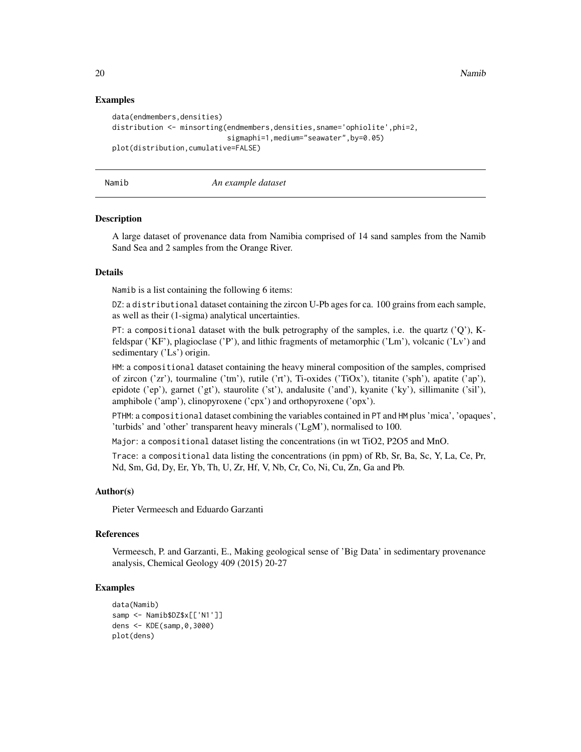20 **Namib** 20 **Namib** 20 **Namib** 20 **Namib** 20 **Namib** 20 **Namib** 20 **Namib** 20 **Namib** 20 **Namib** 20 **Namib** 20 **Namib** 20 **Namib** 20 **Namib** 20 **Namib** 20 **Namib** 20 **Namib** 20 **Namib** 20 **Namib** 20 **Namib** 20 **Namib** 20

#### Examples

```
data(endmembers,densities)
distribution <- minsorting(endmembers,densities,sname='ophiolite',phi=2,
                           sigmaphi=1,medium="seawater",by=0.05)
plot(distribution,cumulative=FALSE)
```
#### Namib *An example dataset*

#### Description

A large dataset of provenance data from Namibia comprised of 14 sand samples from the Namib Sand Sea and 2 samples from the Orange River.

#### Details

Namib is a list containing the following 6 items:

DZ: a distributional dataset containing the zircon U-Pb ages for ca. 100 grains from each sample, as well as their (1-sigma) analytical uncertainties.

PT: a compositional dataset with the bulk petrography of the samples, i.e. the quartz ( $'Q'$ ), Kfeldspar ('KF'), plagioclase ('P'), and lithic fragments of metamorphic ('Lm'), volcanic ('Lv') and sedimentary ('Ls') origin.

HM: a compositional dataset containing the heavy mineral composition of the samples, comprised of zircon ('zr'), tourmaline ('tm'), rutile ('rt'), Ti-oxides ('TiOx'), titanite ('sph'), apatite ('ap'), epidote ('ep'), garnet ('gt'), staurolite ('st'), andalusite ('and'), kyanite ('ky'), sillimanite ('sil'), amphibole ('amp'), clinopyroxene ('cpx') and orthopyroxene ('opx').

PTHM: a compositional dataset combining the variables contained in PT and HM plus 'mica', 'opaques', 'turbids' and 'other' transparent heavy minerals ('LgM'), normalised to 100.

Major: a compositional dataset listing the concentrations (in wt TiO2, P2O5 and MnO.

Trace: a compositional data listing the concentrations (in ppm) of Rb, Sr, Ba, Sc, Y, La, Ce, Pr, Nd, Sm, Gd, Dy, Er, Yb, Th, U, Zr, Hf, V, Nb, Cr, Co, Ni, Cu, Zn, Ga and Pb.

#### Author(s)

Pieter Vermeesch and Eduardo Garzanti

#### References

Vermeesch, P. and Garzanti, E., Making geological sense of 'Big Data' in sedimentary provenance analysis, Chemical Geology 409 (2015) 20-27

```
data(Namib)
samp <- Namib$DZ$x[['N1']]
dens <- KDE(samp,0,3000)
plot(dens)
```
<span id="page-19-0"></span>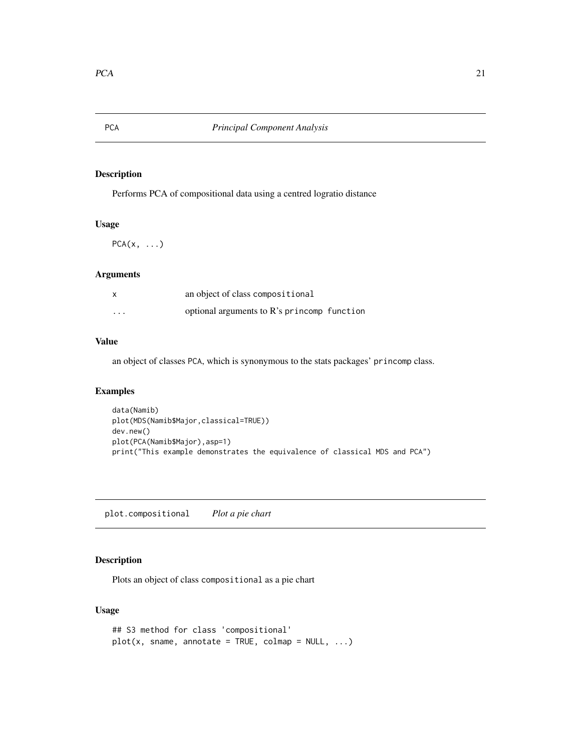<span id="page-20-0"></span>

Performs PCA of compositional data using a centred logratio distance

# Usage

 $PCA(x, \ldots)$ 

# Arguments

| $\boldsymbol{\mathsf{x}}$ | an object of class compositional            |  |
|---------------------------|---------------------------------------------|--|
| $\cdots$                  | optional arguments to R's princomp function |  |

# Value

an object of classes PCA, which is synonymous to the stats packages' princomp class.

# Examples

```
data(Namib)
plot(MDS(Namib$Major,classical=TRUE))
dev.new()
plot(PCA(Namib$Major),asp=1)
print("This example demonstrates the equivalence of classical MDS and PCA")
```
plot.compositional *Plot a pie chart*

# Description

Plots an object of class compositional as a pie chart

# Usage

```
## S3 method for class 'compositional'
plot(x, same, annotate = TRUE, column = NULL, ...)
```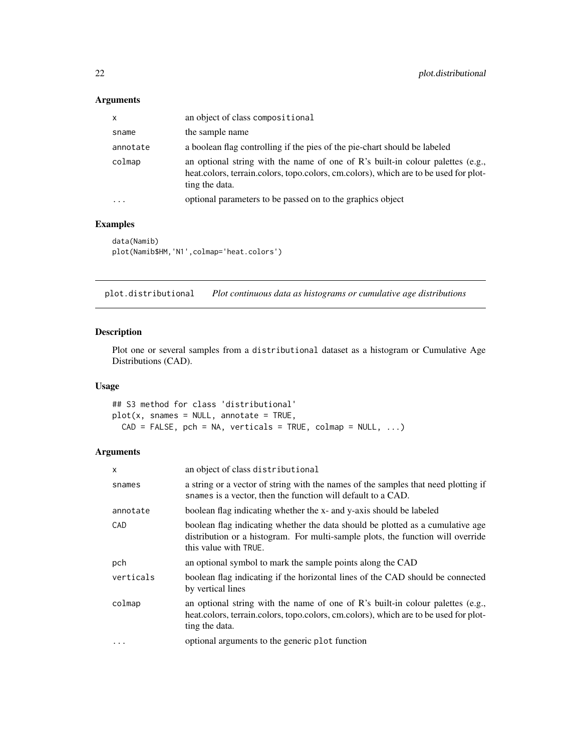# <span id="page-21-0"></span>Arguments

| $\mathsf{x}$ | an object of class compositional                                                                                                                                                         |
|--------------|------------------------------------------------------------------------------------------------------------------------------------------------------------------------------------------|
| sname        | the sample name                                                                                                                                                                          |
| annotate     | a boolean flag controlling if the pies of the pie-chart should be labeled                                                                                                                |
| colmap       | an optional string with the name of one of R's built-in colour palettes (e.g.,<br>heat.colors, terrain.colors, topo.colors, cm.colors), which are to be used for plot-<br>ting the data. |
| $\ddotsc$    | optional parameters to be passed on to the graphics object                                                                                                                               |

# Examples

```
data(Namib)
plot(Namib$HM,'N1',colmap='heat.colors')
```
plot.distributional *Plot continuous data as histograms or cumulative age distributions*

# Description

Plot one or several samples from a distributional dataset as a histogram or Cumulative Age Distributions (CAD).

# Usage

## S3 method for class 'distributional'  $plot(x, snames = NULL, annotate = TRUE,$  $CAD = FALSE, pch = NA, verticals = TRUE, colmap = NULL, ...)$ 

# Arguments

| X         | an object of class distributional                                                                                                                                                           |
|-----------|---------------------------------------------------------------------------------------------------------------------------------------------------------------------------------------------|
| snames    | a string or a vector of string with the names of the samples that need plotting if<br>snames is a vector, then the function will default to a CAD.                                          |
| annotate  | boolean flag indicating whether the x- and y-axis should be labeled                                                                                                                         |
| CAD       | boolean flag indicating whether the data should be plotted as a cumulative age<br>distribution or a histogram. For multi-sample plots, the function will override<br>this value with TRUE.  |
| pch       | an optional symbol to mark the sample points along the CAD                                                                                                                                  |
| verticals | boolean flag indicating if the horizontal lines of the CAD should be connected<br>by vertical lines                                                                                         |
| colmap    | an optional string with the name of one of $R$ 's built-in colour palettes (e.g.,<br>heat.colors, terrain.colors, topo.colors, cm.colors), which are to be used for plot-<br>ting the data. |
| .         | optional arguments to the generic plot function                                                                                                                                             |
|           |                                                                                                                                                                                             |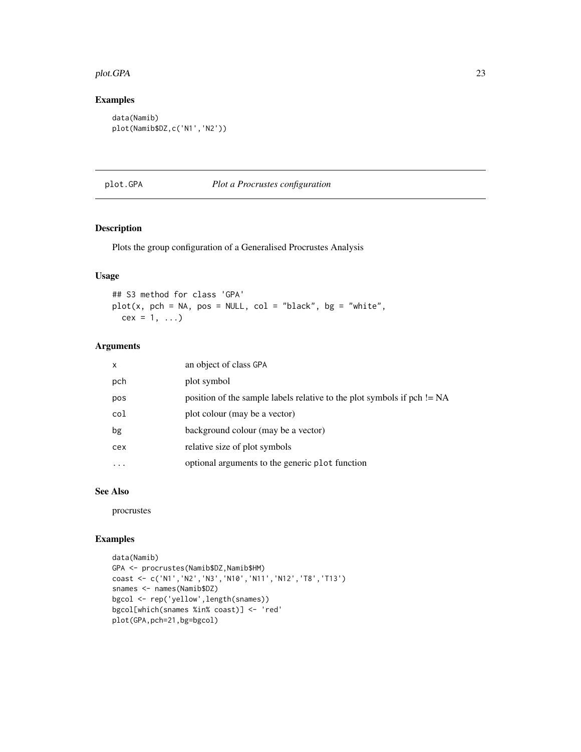#### <span id="page-22-0"></span>plot.GPA 23

# Examples

```
data(Namib)
plot(Namib$DZ,c('N1','N2'))
```
#### plot.GPA *Plot a Procrustes configuration*

# Description

Plots the group configuration of a Generalised Procrustes Analysis

# Usage

## S3 method for class 'GPA'  $plot(x, pch = NA, pos = NULL, col = "black", bg = "white",$  $cex = 1, ...$ 

#### Arguments

| $\mathsf{x}$ | an object of class GPA                                                    |
|--------------|---------------------------------------------------------------------------|
| pch          | plot symbol                                                               |
| pos          | position of the sample labels relative to the plot symbols if $pch$ != NA |
| col          | plot colour (may be a vector)                                             |
| bg           | background colour (may be a vector)                                       |
| cex          | relative size of plot symbols                                             |
|              | optional arguments to the generic plot function                           |
|              |                                                                           |

# See Also

procrustes

```
data(Namib)
GPA <- procrustes(Namib$DZ,Namib$HM)
coast <- c('N1','N2','N3','N10','N11','N12','T8','T13')
snames <- names(Namib$DZ)
bgcol <- rep('yellow',length(snames))
bgcol[which(snames %in% coast)] <- 'red'
plot(GPA,pch=21,bg=bgcol)
```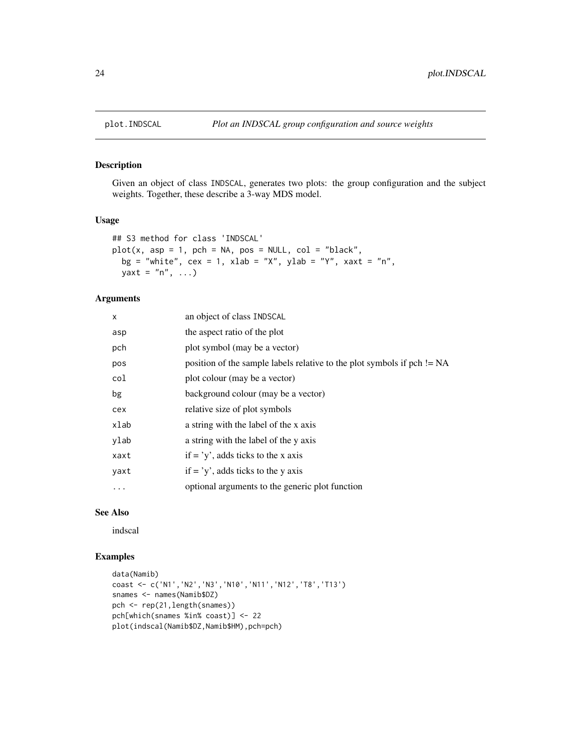<span id="page-23-0"></span>

Given an object of class INDSCAL, generates two plots: the group configuration and the subject weights. Together, these describe a 3-way MDS model.

#### Usage

```
## S3 method for class 'INDSCAL'
plot(x, asp = 1, pch = NA, pos = NULL, col = "black",bg = "white", cex = 1, xlab = "X", ylab = "Y", xaxt = "n",yaxt = "n", \ldots)
```
# Arguments

| an object of class INDSCAL                                                |
|---------------------------------------------------------------------------|
| the aspect ratio of the plot                                              |
| plot symbol (may be a vector)                                             |
| position of the sample labels relative to the plot symbols if $pch$ != NA |
| plot colour (may be a vector)                                             |
| background colour (may be a vector)                                       |
| relative size of plot symbols                                             |
| a string with the label of the x axis                                     |
| a string with the label of the y axis                                     |
| if $=$ 'y', adds ticks to the x axis                                      |
| if $=$ 'y', adds ticks to the y axis                                      |
| optional arguments to the generic plot function                           |
|                                                                           |

#### See Also

indscal

```
data(Namib)
coast <- c('N1','N2','N3','N10','N11','N12','T8','T13')
snames <- names(Namib$DZ)
pch <- rep(21,length(snames))
pch[which(snames %in% coast)] <- 22
plot(indscal(Namib$DZ,Namib$HM),pch=pch)
```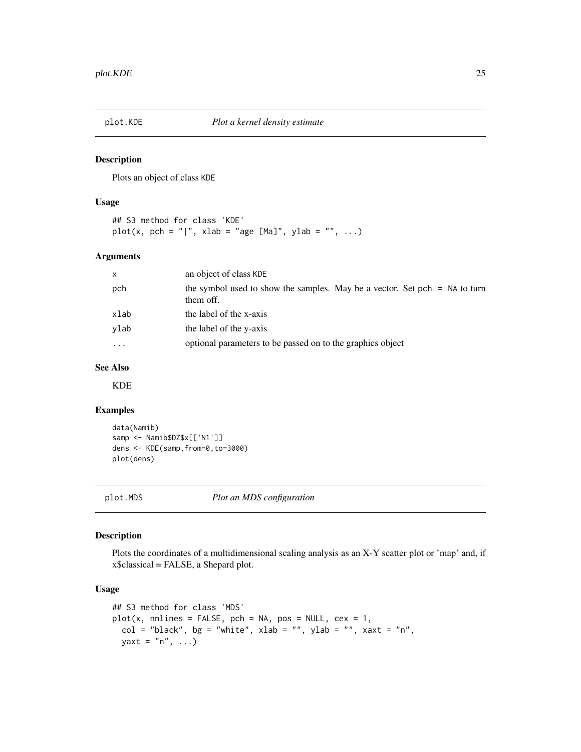<span id="page-24-0"></span>

Plots an object of class KDE

#### Usage

## S3 method for class 'KDE' plot(x, pch = "|", xlab = "age [Ma]", ylab = "", ...)

# Arguments

| $\mathsf{x}$ | an object of class KDE                                                                    |
|--------------|-------------------------------------------------------------------------------------------|
| pch          | the symbol used to show the samples. May be a vector. Set pch $=$ NA to turn<br>them off. |
| xlab         | the label of the x-axis                                                                   |
| ylab         | the label of the y-axis                                                                   |
| $\ddotsc$    | optional parameters to be passed on to the graphics object                                |

# See Also

KDE

# Examples

```
data(Namib)
samp <- Namib$DZ$x[['N1']]
dens <- KDE(samp,from=0,to=3000)
plot(dens)
```
plot.MDS *Plot an MDS configuration*

# Description

Plots the coordinates of a multidimensional scaling analysis as an X-Y scatter plot or 'map' and, if x\$classical = FALSE, a Shepard plot.

#### Usage

```
## S3 method for class 'MDS'
plot(x, \text{nnlines} = FALSE, \text{pch} = NA, \text{pos} = NULL, \text{cex} = 1,col = "black", bg = "white", xlab = "", ylab = "", xaxt = "n",yaxt = "n", \ldots)
```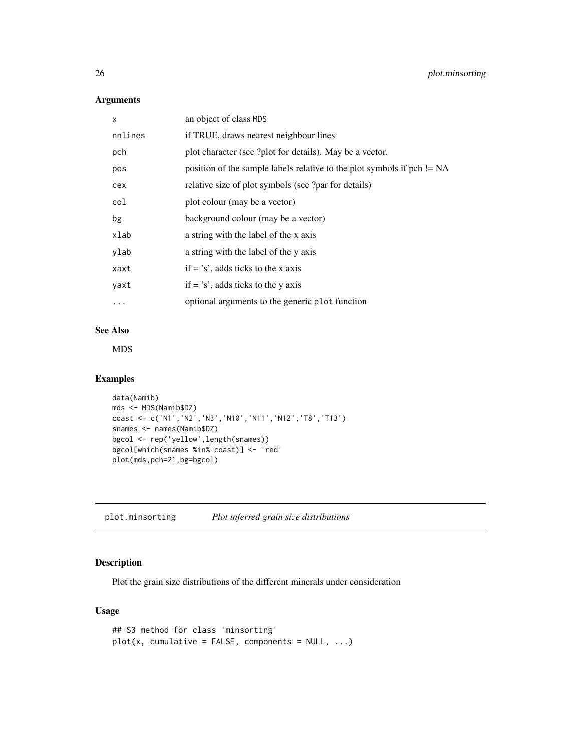# Arguments

| X       | an object of class MDS                                                  |  |
|---------|-------------------------------------------------------------------------|--|
| nnlines | if TRUE, draws nearest neighbour lines                                  |  |
| pch     | plot character (see ?plot for details). May be a vector.                |  |
| pos     | position of the sample labels relative to the plot symbols if pch != NA |  |
| cex     | relative size of plot symbols (see ?par for details)                    |  |
| col     | plot colour (may be a vector)                                           |  |
| bg      | background colour (may be a vector)                                     |  |
| xlab    | a string with the label of the x axis                                   |  |
| ylab    | a string with the label of the y axis                                   |  |
| xaxt    | if $=$ 's', adds ticks to the x axis                                    |  |
| yaxt    | if $=$ 's', adds ticks to the y axis                                    |  |
| .       | optional arguments to the generic plot function                         |  |
|         |                                                                         |  |

# See Also

MDS

# Examples

```
data(Namib)
mds <- MDS(Namib$DZ)
coast <- c('N1','N2','N3','N10','N11','N12','T8','T13')
snames <- names(Namib$DZ)
bgcol <- rep('yellow',length(snames))
bgcol[which(snames %in% coast)] <- 'red'
plot(mds,pch=21,bg=bgcol)
```
plot.minsorting *Plot inferred grain size distributions*

# Description

Plot the grain size distributions of the different minerals under consideration

# Usage

```
## S3 method for class 'minsorting'
plot(x, cumulative = FALSE, components = NULL, ...)
```
<span id="page-25-0"></span>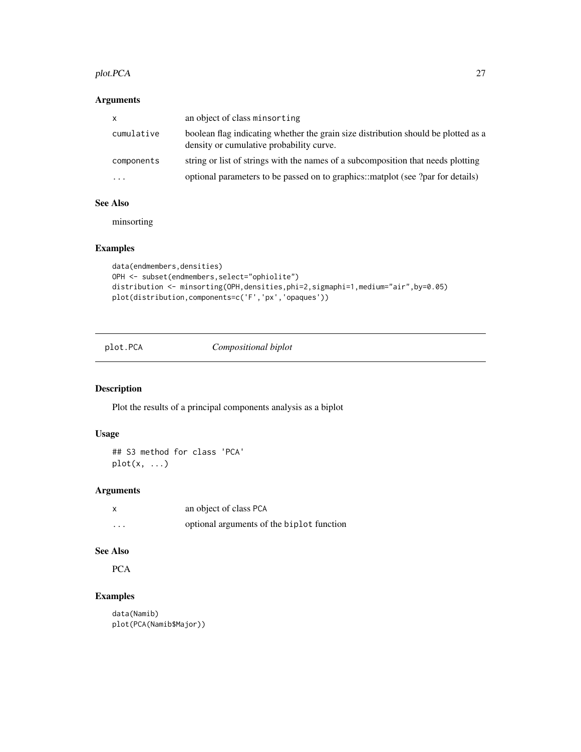#### <span id="page-26-0"></span>plot.PCA 27

# Arguments

| X          | an object of class minsorting                                                                                                  |
|------------|--------------------------------------------------------------------------------------------------------------------------------|
| cumulative | boolean flag indicating whether the grain size distribution should be plotted as a<br>density or cumulative probability curve. |
| components | string or list of strings with the names of a subcomposition that needs plotting                                               |
| .          | optional parameters to be passed on to graphics::matplot (see ?par for details)                                                |

# See Also

minsorting

# Examples

```
data(endmembers,densities)
OPH <- subset(endmembers,select="ophiolite")
distribution <- minsorting(OPH,densities,phi=2,sigmaphi=1,medium="air",by=0.05)
plot(distribution,components=c('F','px','opaques'))
```
plot.PCA *Compositional biplot*

# Description

Plot the results of a principal components analysis as a biplot

# Usage

## S3 method for class 'PCA'  $plot(x, \ldots)$ 

# Arguments

|         | an object of class PCA                    |
|---------|-------------------------------------------|
| $\cdot$ | optional arguments of the biplot function |

#### See Also

PCA

# Examples

data(Namib) plot(PCA(Namib\$Major))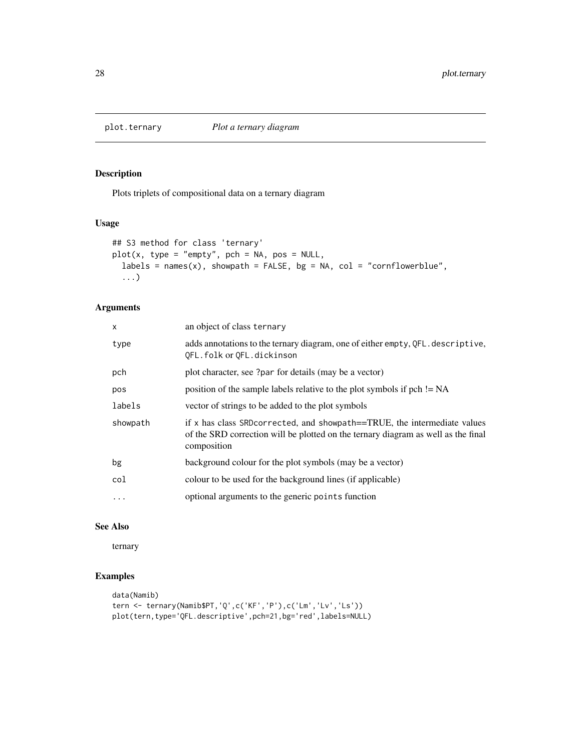<span id="page-27-0"></span>

Plots triplets of compositional data on a ternary diagram

#### Usage

```
## S3 method for class 'ternary'
plot(x, type = "empty", pch = NA, pos = NULL,labels = names(x), showpath = FALSE, bg = NA, col = "cornflowerblue",
  ...)
```
# Arguments

| $\mathsf{x}$ | an object of class ternary                                                                                                                                                      |  |
|--------------|---------------------------------------------------------------------------------------------------------------------------------------------------------------------------------|--|
| type         | adds annotations to the ternary diagram, one of either empty, QFL. descriptive,<br>QFL.folk or QFL.dickinson                                                                    |  |
| pch          | plot character, see ?par for details (may be a vector)                                                                                                                          |  |
| pos          | position of the sample labels relative to the plot symbols if pch != NA                                                                                                         |  |
| labels       | vector of strings to be added to the plot symbols                                                                                                                               |  |
| showpath     | if x has class SRD corrected, and show path = TRUE, the intermediate values<br>of the SRD correction will be plotted on the ternary diagram as well as the final<br>composition |  |
| bg           | background colour for the plot symbols (may be a vector)                                                                                                                        |  |
| col          | colour to be used for the background lines (if applicable)                                                                                                                      |  |
| $\ddots$     | optional arguments to the generic points function                                                                                                                               |  |

# See Also

ternary

```
data(Namib)
tern <- ternary(Namib$PT,'Q',c('KF','P'),c('Lm','Lv','Ls'))
plot(tern,type='QFL.descriptive',pch=21,bg='red',labels=NULL)
```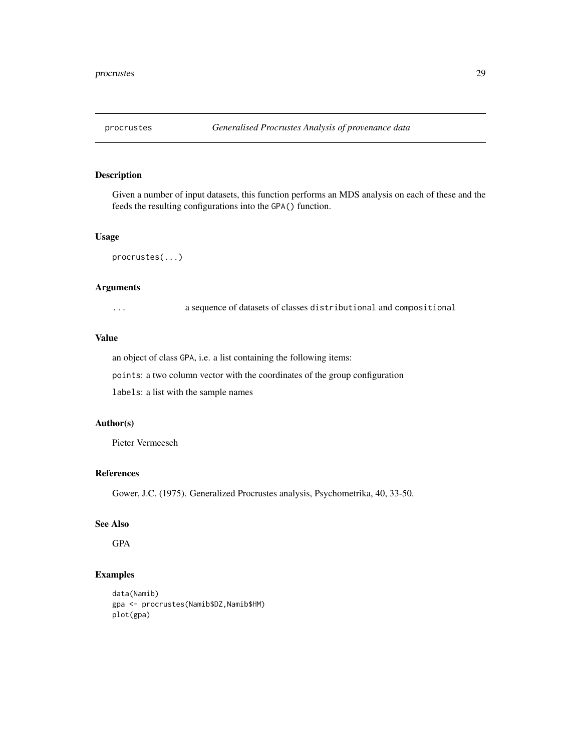<span id="page-28-0"></span>

Given a number of input datasets, this function performs an MDS analysis on each of these and the feeds the resulting configurations into the GPA() function.

#### Usage

procrustes(...)

# Arguments

... a sequence of datasets of classes distributional and compositional

#### Value

an object of class GPA, i.e. a list containing the following items: points: a two column vector with the coordinates of the group configuration

labels: a list with the sample names

# Author(s)

Pieter Vermeesch

#### References

Gower, J.C. (1975). Generalized Procrustes analysis, Psychometrika, 40, 33-50.

# See Also

GPA

```
data(Namib)
gpa <- procrustes(Namib$DZ,Namib$HM)
plot(gpa)
```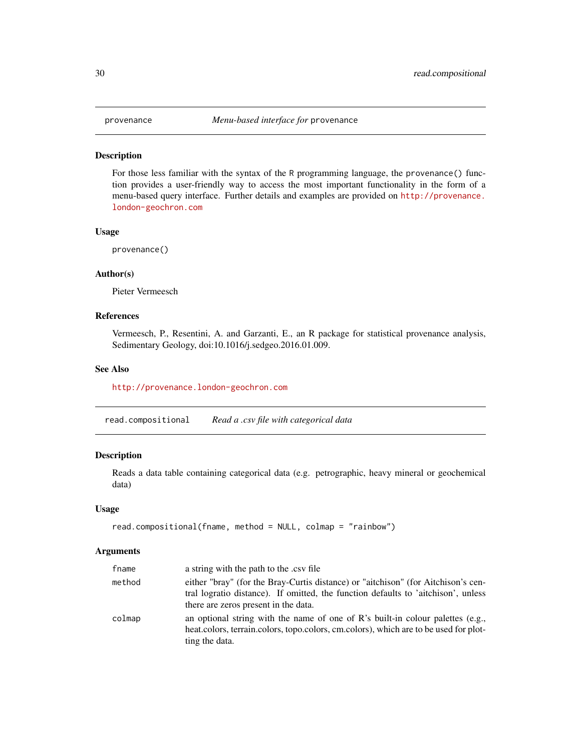<span id="page-29-0"></span>

For those less familiar with the syntax of the R programming language, the provenance() function provides a user-friendly way to access the most important functionality in the form of a menu-based query interface. Further details and examples are provided on [http://provenance.](http://provenance.london-geochron.com) [london-geochron.com](http://provenance.london-geochron.com)

#### Usage

provenance()

# Author(s)

Pieter Vermeesch

#### References

Vermeesch, P., Resentini, A. and Garzanti, E., an R package for statistical provenance analysis, Sedimentary Geology, doi:10.1016/j.sedgeo.2016.01.009.

# See Also

<http://provenance.london-geochron.com>

read.compositional *Read a .csv file with categorical data*

#### Description

Reads a data table containing categorical data (e.g. petrographic, heavy mineral or geochemical data)

#### Usage

```
read.compositional(fname, method = NULL, colmap = "rainbow")
```
#### Arguments

| fname  | a string with the path to the .csv file                                                                                                                                                                        |  |
|--------|----------------------------------------------------------------------------------------------------------------------------------------------------------------------------------------------------------------|--|
| method | either "bray" (for the Bray-Curtis distance) or "aitchison" (for Aitchison's cen-<br>tral logratio distance). If omitted, the function defaults to 'aitchison', unless<br>there are zeros present in the data. |  |
| colmap | an optional string with the name of one of R's built-in colour palettes (e.g.,<br>heat.colors, terrain.colors, topo.colors, cm.colors), which are to be used for plot-<br>ting the data.                       |  |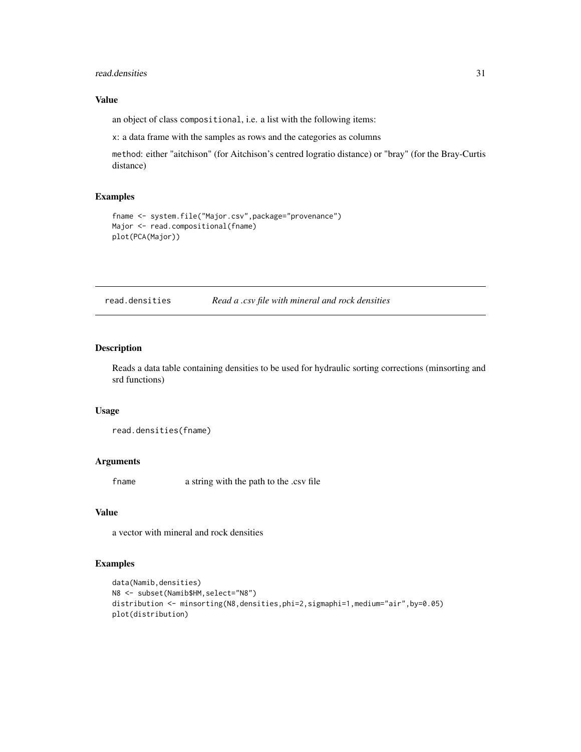#### <span id="page-30-0"></span>read.densities 31

# Value

an object of class compositional, i.e. a list with the following items:

x: a data frame with the samples as rows and the categories as columns

method: either "aitchison" (for Aitchison's centred logratio distance) or "bray" (for the Bray-Curtis distance)

# Examples

```
fname <- system.file("Major.csv",package="provenance")
Major <- read.compositional(fname)
plot(PCA(Major))
```
# Description

Reads a data table containing densities to be used for hydraulic sorting corrections (minsorting and srd functions)

#### Usage

```
read.densities(fname)
```
# Arguments

fname a string with the path to the .csv file

# Value

a vector with mineral and rock densities

```
data(Namib,densities)
N8 <- subset(Namib$HM,select="N8")
distribution <- minsorting(N8,densities,phi=2,sigmaphi=1,medium="air",by=0.05)
plot(distribution)
```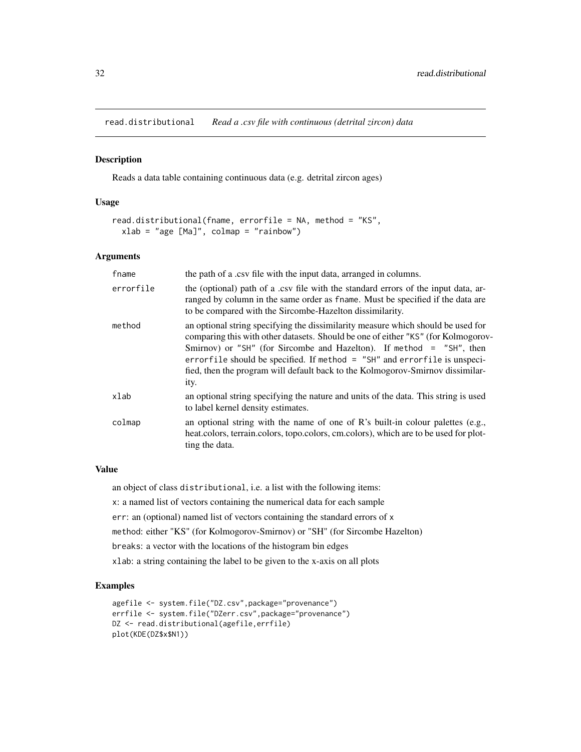<span id="page-31-0"></span>read.distributional *Read a .csv file with continuous (detrital zircon) data*

#### Description

Reads a data table containing continuous data (e.g. detrital zircon ages)

#### Usage

```
read.distributional(fname, errorfile = NA, method = "KS",
 xlab = "age [Ma]", colmap = "rainbow")
```
# Arguments

| fname     | the path of a .csv file with the input data, arranged in columns.                                                                                                                                                                                                                                                                                                                                                    |  |
|-----------|----------------------------------------------------------------------------------------------------------------------------------------------------------------------------------------------------------------------------------------------------------------------------------------------------------------------------------------------------------------------------------------------------------------------|--|
| errorfile | the (optional) path of a .csv file with the standard errors of the input data, ar-<br>ranged by column in the same order as fname. Must be specified if the data are<br>to be compared with the Sircombe-Hazelton dissimilarity.                                                                                                                                                                                     |  |
| method    | an optional string specifying the dissimilarity measure which should be used for<br>comparing this with other datasets. Should be one of either "KS" (for Kolmogorov-<br>Smirnov) or "SH" (for Sircombe and Hazelton). If method = "SH", then<br>errorfile should be specified. If method = "SH" and errorfile is unspeci-<br>fied, then the program will default back to the Kolmogorov-Smirnov dissimilar-<br>ity. |  |
| xlab      | an optional string specifying the nature and units of the data. This string is used<br>to label kernel density estimates.                                                                                                                                                                                                                                                                                            |  |
| colmap    | an optional string with the name of one of R's built-in colour palettes (e.g.,<br>heat.colors, terrain.colors, topo.colors, cm.colors), which are to be used for plot-<br>ting the data.                                                                                                                                                                                                                             |  |

# Value

an object of class distributional, i.e. a list with the following items:

x: a named list of vectors containing the numerical data for each sample

err: an (optional) named list of vectors containing the standard errors of x

method: either "KS" (for Kolmogorov-Smirnov) or "SH" (for Sircombe Hazelton)

breaks: a vector with the locations of the histogram bin edges

xlab: a string containing the label to be given to the x-axis on all plots

```
agefile <- system.file("DZ.csv",package="provenance")
errfile <- system.file("DZerr.csv",package="provenance")
DZ <- read.distributional(agefile,errfile)
plot(KDE(DZ$x$N1))
```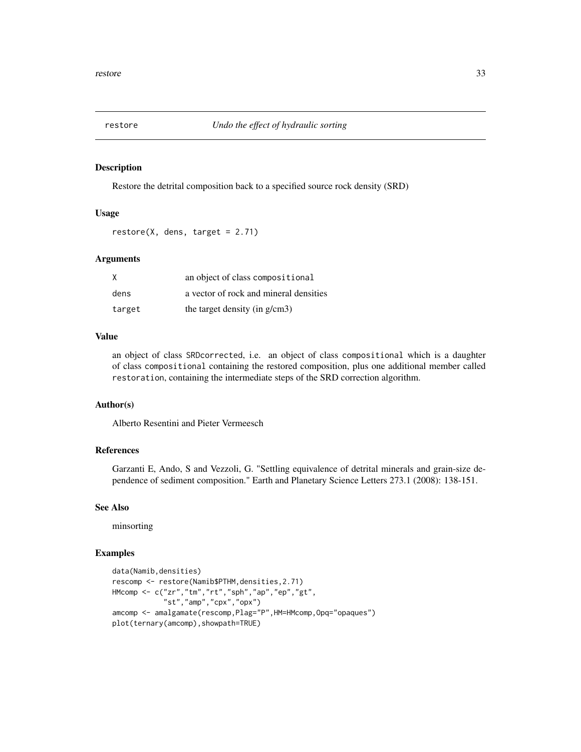<span id="page-32-0"></span>

Restore the detrital composition back to a specified source rock density (SRD)

# Usage

 $restore(X, dens, target = 2.71)$ 

#### Arguments

| X      | an object of class compositional       |  |
|--------|----------------------------------------|--|
| dens   | a vector of rock and mineral densities |  |
| target | the target density (in g/cm3)          |  |

# Value

an object of class SRDcorrected, i.e. an object of class compositional which is a daughter of class compositional containing the restored composition, plus one additional member called restoration, containing the intermediate steps of the SRD correction algorithm.

#### Author(s)

Alberto Resentini and Pieter Vermeesch

#### References

Garzanti E, Ando, S and Vezzoli, G. "Settling equivalence of detrital minerals and grain-size dependence of sediment composition." Earth and Planetary Science Letters 273.1 (2008): 138-151.

#### See Also

minsorting

```
data(Namib,densities)
rescomp <- restore(Namib$PTHM,densities,2.71)
HMcomp <- c("zr","tm","rt","sph","ap","ep","gt",
            "st","amp","cpx","opx")
amcomp <- amalgamate(rescomp,Plag="P",HM=HMcomp,Opq="opaques")
plot(ternary(amcomp),showpath=TRUE)
```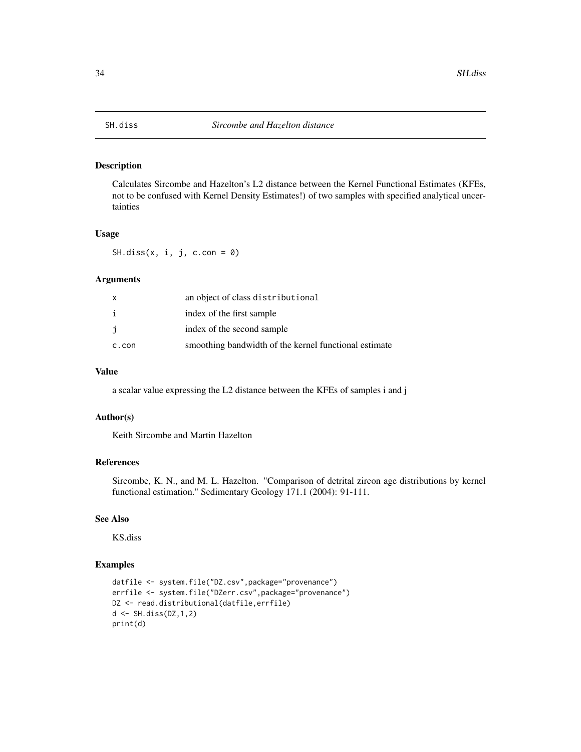<span id="page-33-0"></span>

Calculates Sircombe and Hazelton's L2 distance between the Kernel Functional Estimates (KFEs, not to be confused with Kernel Density Estimates!) of two samples with specified analytical uncertainties

#### Usage

SH.diss $(x, i, j, c.com = 0)$ 

# Arguments

| x     | an object of class distributional                     |
|-------|-------------------------------------------------------|
| i     | index of the first sample                             |
| j     | index of the second sample                            |
| c.con | smoothing bandwidth of the kernel functional estimate |

# Value

a scalar value expressing the L2 distance between the KFEs of samples i and j

## Author(s)

Keith Sircombe and Martin Hazelton

#### References

Sircombe, K. N., and M. L. Hazelton. "Comparison of detrital zircon age distributions by kernel functional estimation." Sedimentary Geology 171.1 (2004): 91-111.

#### See Also

KS.diss

```
datfile <- system.file("DZ.csv",package="provenance")
errfile <- system.file("DZerr.csv",package="provenance")
DZ <- read.distributional(datfile,errfile)
d <- SH.diss(DZ,1,2)
print(d)
```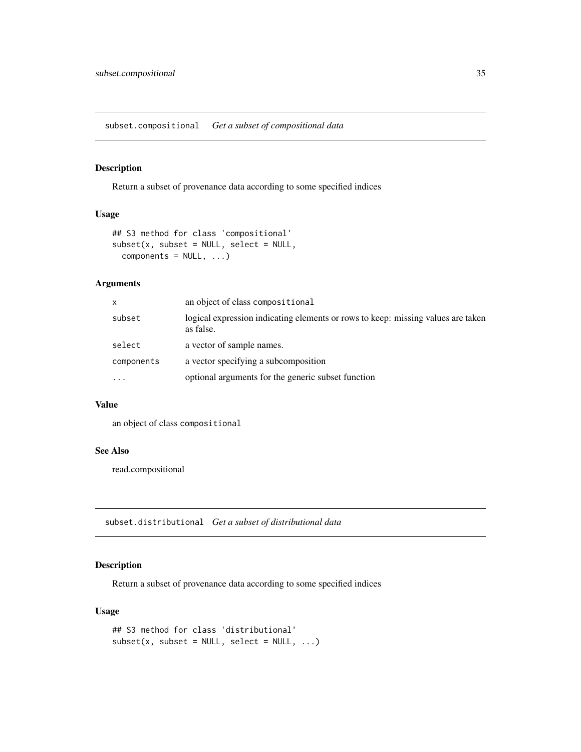<span id="page-34-0"></span>subset.compositional *Get a subset of compositional data*

#### Description

Return a subset of provenance data according to some specified indices

# Usage

```
## S3 method for class 'compositional'
subset(x, subset = NULL, select = NULL,components = NULL, ...)
```
# Arguments

| x          | an object of class compositional                                                              |
|------------|-----------------------------------------------------------------------------------------------|
| subset     | logical expression indicating elements or rows to keep: missing values are taken<br>as false. |
| select     | a vector of sample names.                                                                     |
| components | a vector specifying a subcomposition                                                          |
| $\ddotsc$  | optional arguments for the generic subset function                                            |

#### Value

an object of class compositional

#### See Also

read.compositional

subset.distributional *Get a subset of distributional data*

# Description

Return a subset of provenance data according to some specified indices

# Usage

```
## S3 method for class 'distributional'
subset(x, subset = NULL, select = NULL, ...)
```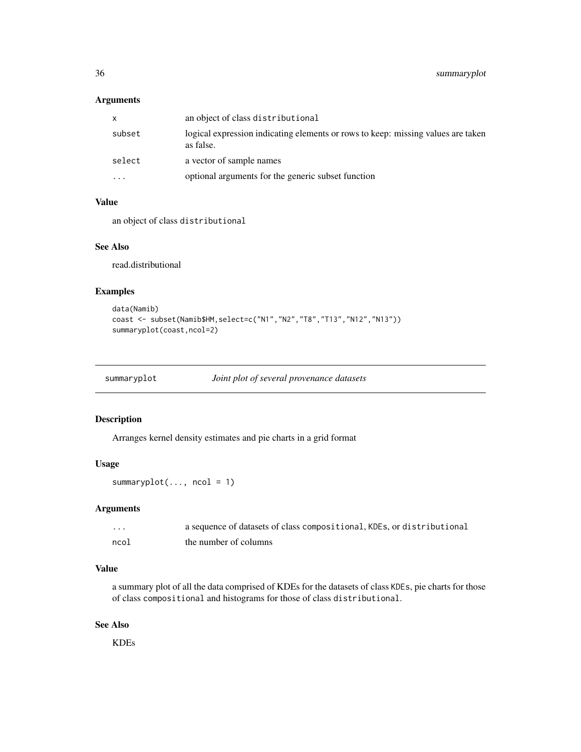# <span id="page-35-0"></span>Arguments

| X        | an object of class distributional                                                             |
|----------|-----------------------------------------------------------------------------------------------|
| subset   | logical expression indicating elements or rows to keep: missing values are taken<br>as false. |
| select   | a vector of sample names                                                                      |
| $\cdots$ | optional arguments for the generic subset function                                            |

#### Value

an object of class distributional

# See Also

read.distributional

# Examples

```
data(Namib)
coast <- subset(Namib$HM,select=c("N1","N2","T8","T13","N12","N13"))
summaryplot(coast,ncol=2)
```

|  | summaryplot | Joint plot of several provenance datasets |  |
|--|-------------|-------------------------------------------|--|
|--|-------------|-------------------------------------------|--|

#### Description

Arranges kernel density estimates and pie charts in a grid format

# Usage

summaryplot $(..., \text{ ncol} = 1)$ 

# Arguments

| $\cdots$ | a sequence of datasets of class compositional, KDEs, or distributional |
|----------|------------------------------------------------------------------------|
| ncol     | the number of columns                                                  |

# Value

a summary plot of all the data comprised of KDEs for the datasets of class KDEs, pie charts for those of class compositional and histograms for those of class distributional.

#### See Also

KDEs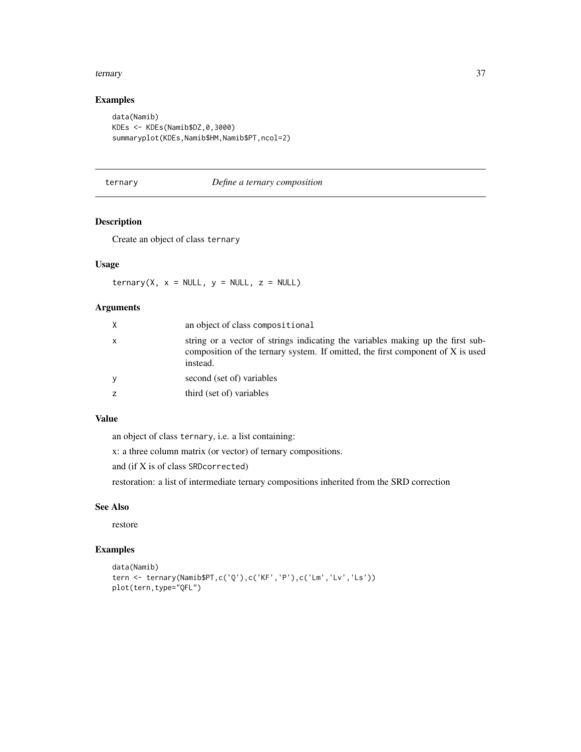#### <span id="page-36-0"></span>ternary 37

# Examples

```
data(Namib)
KDEs <- KDEs(Namib$DZ,0,3000)
summaryplot(KDEs,Namib$HM,Namib$PT,ncol=2)
```
#### ternary *Define a ternary composition*

# Description

Create an object of class ternary

# Usage

 $ternary(X, x = NULL, y = NULL, z = NULL)$ 

# Arguments

| X | an object of class compositional                                                                                                                                               |
|---|--------------------------------------------------------------------------------------------------------------------------------------------------------------------------------|
| X | string or a vector of strings indicating the variables making up the first sub-<br>composition of the ternary system. If omitted, the first component of X is used<br>instead. |
| У | second (set of) variables                                                                                                                                                      |
| z | third (set of) variables                                                                                                                                                       |

# Value

an object of class ternary, i.e. a list containing:

x: a three column matrix (or vector) of ternary compositions.

and (if X is of class SRDcorrected)

restoration: a list of intermediate ternary compositions inherited from the SRD correction

#### See Also

restore

```
data(Namib)
tern <- ternary(Namib$PT,c('Q'),c('KF','P'),c('Lm','Lv','Ls'))
plot(tern,type="QFL")
```